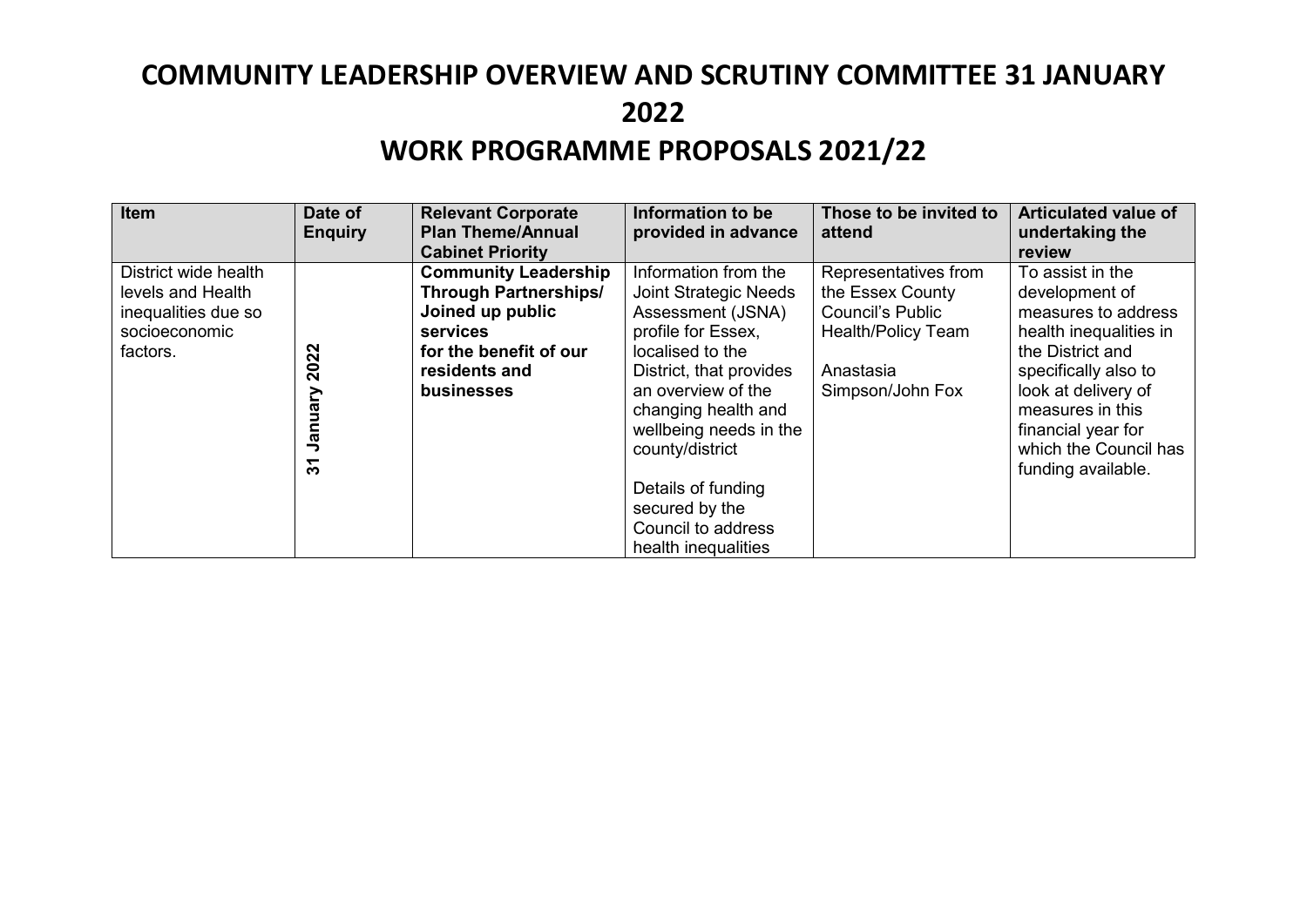| Item                                                                                          | Date of<br><b>Enquiry</b>            | <b>Relevant Corporate</b><br><b>Plan Theme/Annual</b><br><b>Cabinet Priority</b>                                                                     | Information to be<br>provided in advance                                                                                                                                                                                                                                                                                      | Those to be invited to<br>attend                                                                                                  | <b>Articulated value of</b><br>undertaking the<br>review                                                                                                                                                                                        |
|-----------------------------------------------------------------------------------------------|--------------------------------------|------------------------------------------------------------------------------------------------------------------------------------------------------|-------------------------------------------------------------------------------------------------------------------------------------------------------------------------------------------------------------------------------------------------------------------------------------------------------------------------------|-----------------------------------------------------------------------------------------------------------------------------------|-------------------------------------------------------------------------------------------------------------------------------------------------------------------------------------------------------------------------------------------------|
| District wide health<br>levels and Health<br>inequalities due so<br>socioeconomic<br>factors. | 2022<br>Vienuary<br>$\tilde{\bm{5}}$ | <b>Community Leadership</b><br><b>Through Partnerships/</b><br>Joined up public<br>services<br>for the benefit of our<br>residents and<br>businesses | Information from the<br><b>Joint Strategic Needs</b><br>Assessment (JSNA)<br>profile for Essex,<br>localised to the<br>District, that provides<br>an overview of the<br>changing health and<br>wellbeing needs in the<br>county/district<br>Details of funding<br>secured by the<br>Council to address<br>health inequalities | Representatives from<br>the Essex County<br><b>Council's Public</b><br><b>Health/Policy Team</b><br>Anastasia<br>Simpson/John Fox | To assist in the<br>development of<br>measures to address<br>health inequalities in<br>the District and<br>specifically also to<br>look at delivery of<br>measures in this<br>financial year for<br>which the Council has<br>funding available. |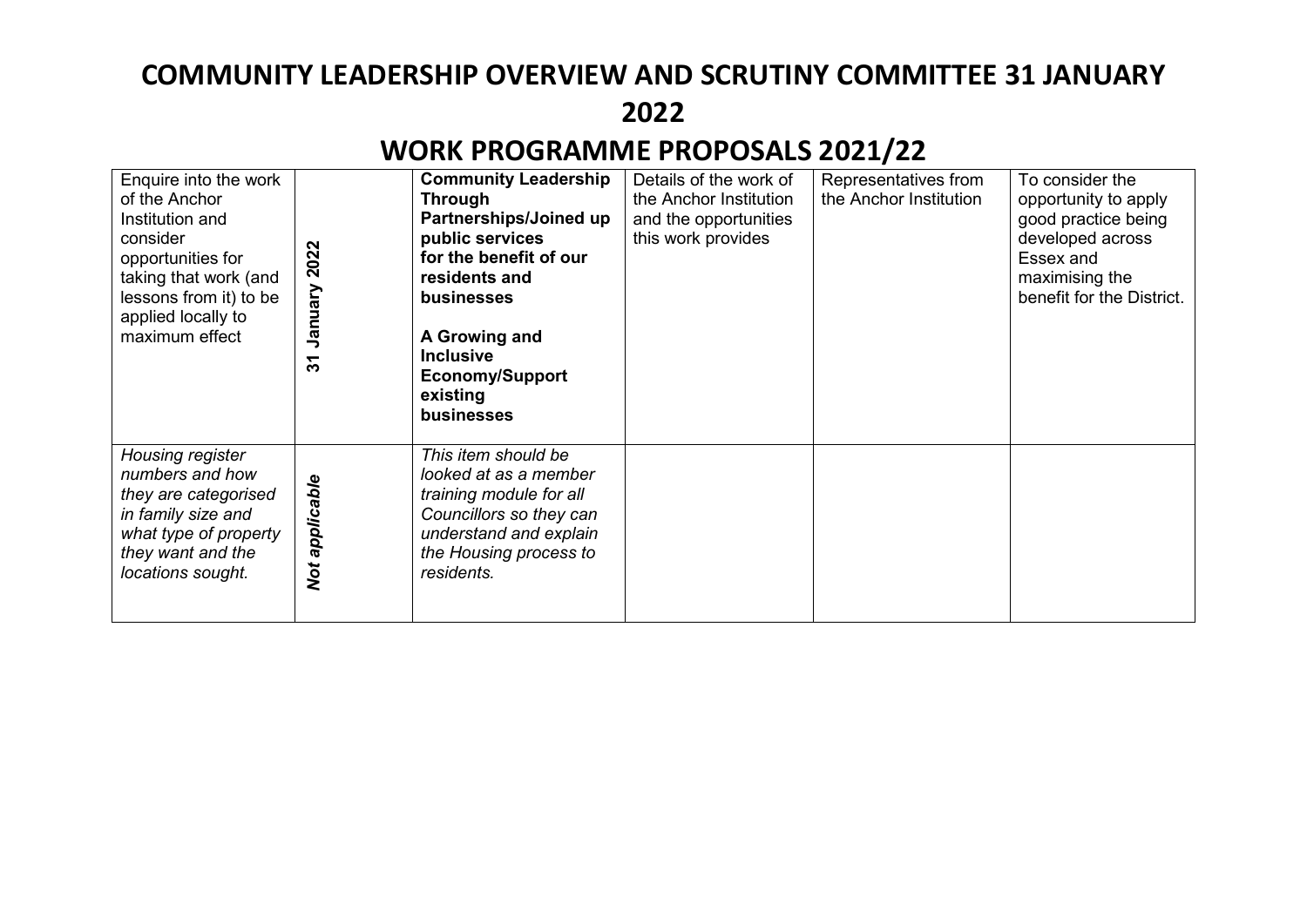| Enquire into the work<br>of the Anchor<br>Institution and<br>consider<br>opportunities for<br>taking that work (and<br>lessons from it) to be<br>applied locally to<br>maximum effect | 2022<br>Vienusr<br>$\overline{3}$ | <b>Community Leadership</b><br><b>Through</b><br>Partnerships/Joined up<br>public services<br>for the benefit of our<br>residents and<br>businesses<br>A Growing and<br><b>Inclusive</b><br><b>Economy/Support</b><br>existing<br>businesses | Details of the work of<br>the Anchor Institution<br>and the opportunities<br>this work provides | Representatives from<br>the Anchor Institution | To consider the<br>opportunity to apply<br>good practice being<br>developed across<br>Essex and<br>maximising the<br>benefit for the District. |
|---------------------------------------------------------------------------------------------------------------------------------------------------------------------------------------|-----------------------------------|----------------------------------------------------------------------------------------------------------------------------------------------------------------------------------------------------------------------------------------------|-------------------------------------------------------------------------------------------------|------------------------------------------------|------------------------------------------------------------------------------------------------------------------------------------------------|
| Housing register<br>numbers and how<br>they are categorised<br>in family size and<br>what type of property<br>they want and the<br>locations sought.                                  | applicable<br>Not                 | This item should be<br>looked at as a member<br>training module for all<br>Councillors so they can<br>understand and explain<br>the Housing process to<br>residents.                                                                         |                                                                                                 |                                                |                                                                                                                                                |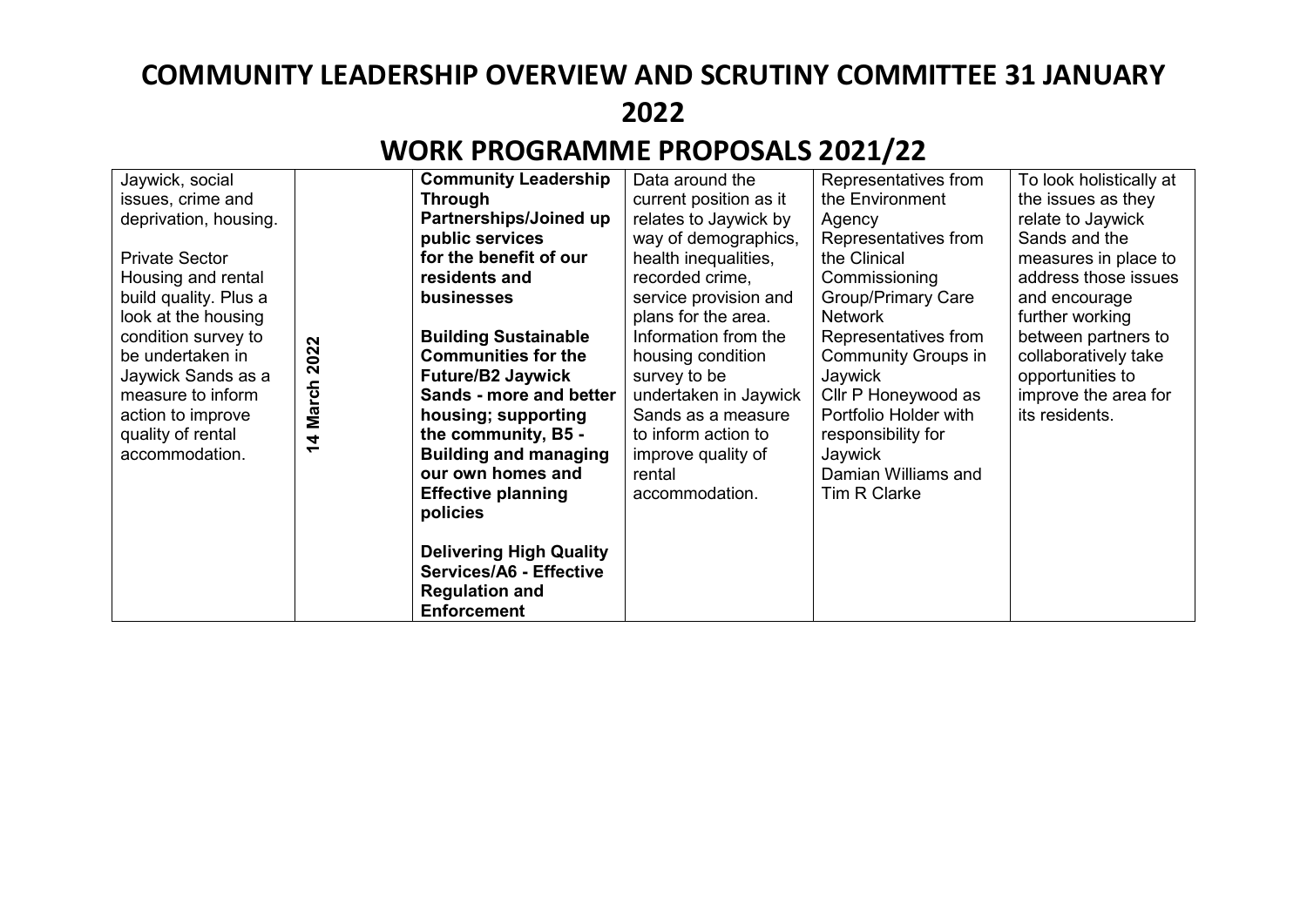| Jaywick, social       |        | <b>Community Leadership</b>                                                                              | Data around the        | Representatives from       | To look holistically at |
|-----------------------|--------|----------------------------------------------------------------------------------------------------------|------------------------|----------------------------|-------------------------|
| issues, crime and     |        | <b>Through</b>                                                                                           | current position as it | the Environment            | the issues as they      |
| deprivation, housing. |        | Partnerships/Joined up                                                                                   | relates to Jaywick by  | Agency                     | relate to Jaywick       |
|                       |        | public services                                                                                          | way of demographics,   | Representatives from       | Sands and the           |
| <b>Private Sector</b> |        | for the benefit of our                                                                                   | health inequalities,   | the Clinical               | measures in place to    |
| Housing and rental    |        | residents and                                                                                            | recorded crime,        | Commissioning              | address those issues    |
| build quality. Plus a |        | businesses                                                                                               | service provision and  | <b>Group/Primary Care</b>  | and encourage           |
| look at the housing   |        |                                                                                                          | plans for the area.    | <b>Network</b>             | further working         |
| condition survey to   |        | <b>Building Sustainable</b>                                                                              | Information from the   | Representatives from       | between partners to     |
| be undertaken in      | 2022   | <b>Communities for the</b>                                                                               | housing condition      | <b>Community Groups in</b> | collaboratively take    |
| Jaywick Sands as a    |        | <b>Future/B2 Jaywick</b>                                                                                 | survey to be           | Jaywick                    | opportunities to        |
| measure to inform     | March  | Sands - more and better                                                                                  | undertaken in Jaywick  | Cllr P Honeywood as        | improve the area for    |
| action to improve     |        | housing; supporting                                                                                      | Sands as a measure     | Portfolio Holder with      | its residents.          |
| quality of rental     |        | the community, B5 -                                                                                      | to inform action to    | responsibility for         |                         |
| accommodation.        | 4<br>↽ | <b>Building and managing</b>                                                                             | improve quality of     | Jaywick                    |                         |
|                       |        | our own homes and                                                                                        | rental                 | Damian Williams and        |                         |
|                       |        |                                                                                                          |                        | Tim R Clarke               |                         |
|                       |        | <b>Effective planning</b>                                                                                | accommodation.         |                            |                         |
|                       |        | policies                                                                                                 |                        |                            |                         |
|                       |        | <b>Delivering High Quality</b><br>Services/A6 - Effective<br><b>Regulation and</b><br><b>Enforcement</b> |                        |                            |                         |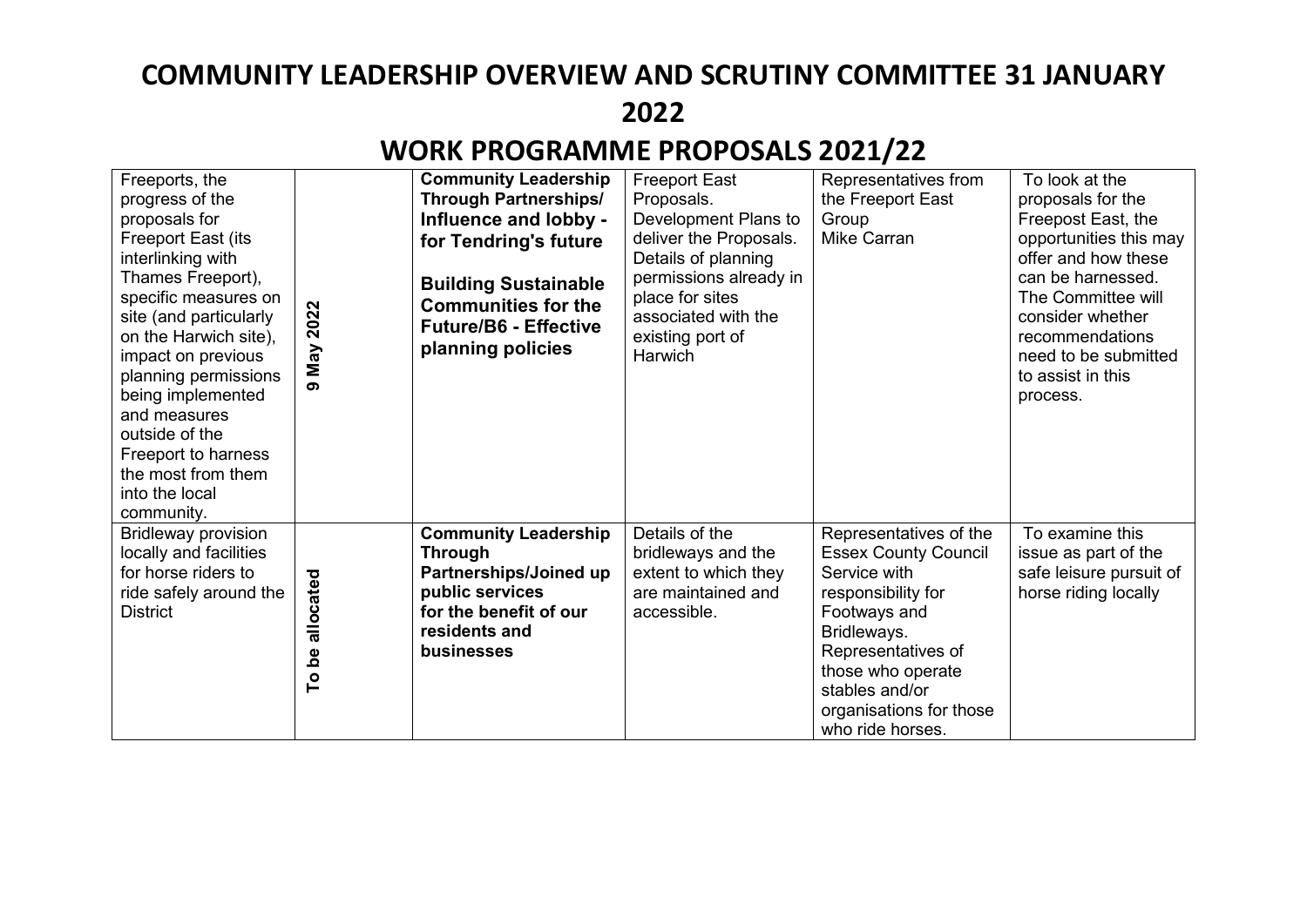| Freeports, the<br>progress of the<br>proposals for<br><b>Freeport East (its</b><br>interlinking with<br>Thames Freeport),<br>specific measures on<br>site (and particularly<br>on the Harwich site),<br>impact on previous<br>planning permissions<br>being implemented<br>and measures<br>outside of the<br>Freeport to harness<br>the most from them<br>into the local<br>community. | 2022<br>May<br>ക                                    | <b>Community Leadership</b><br><b>Through Partnerships/</b><br>Influence and lobby -<br>for Tendring's future<br><b>Building Sustainable</b><br><b>Communities for the</b><br><b>Future/B6 - Effective</b><br>planning policies | <b>Freeport East</b><br>Proposals.<br>Development Plans to<br>deliver the Proposals.<br>Details of planning<br>permissions already in<br>place for sites<br>associated with the<br>existing port of<br>Harwich | Representatives from<br>the Freeport East<br>Group<br><b>Mike Carran</b>                                                                                                                                                               | To look at the<br>proposals for the<br>Freepost East, the<br>opportunities this may<br>offer and how these<br>can be harnessed.<br>The Committee will<br>consider whether<br>recommendations<br>need to be submitted<br>to assist in this<br>process. |
|----------------------------------------------------------------------------------------------------------------------------------------------------------------------------------------------------------------------------------------------------------------------------------------------------------------------------------------------------------------------------------------|-----------------------------------------------------|---------------------------------------------------------------------------------------------------------------------------------------------------------------------------------------------------------------------------------|----------------------------------------------------------------------------------------------------------------------------------------------------------------------------------------------------------------|----------------------------------------------------------------------------------------------------------------------------------------------------------------------------------------------------------------------------------------|-------------------------------------------------------------------------------------------------------------------------------------------------------------------------------------------------------------------------------------------------------|
| <b>Bridleway provision</b><br>locally and facilities<br>for horse riders to<br>ride safely around the<br><b>District</b>                                                                                                                                                                                                                                                               | allocated<br><u>وم</u><br>$\mathsf{P}^{\mathsf{o}}$ | <b>Community Leadership</b><br><b>Through</b><br>Partnerships/Joined up<br>public services<br>for the benefit of our<br>residents and<br>businesses                                                                             | Details of the<br>bridleways and the<br>extent to which they<br>are maintained and<br>accessible.                                                                                                              | Representatives of the<br><b>Essex County Council</b><br>Service with<br>responsibility for<br>Footways and<br>Bridleways.<br>Representatives of<br>those who operate<br>stables and/or<br>organisations for those<br>who ride horses. | To examine this<br>issue as part of the<br>safe leisure pursuit of<br>horse riding locally                                                                                                                                                            |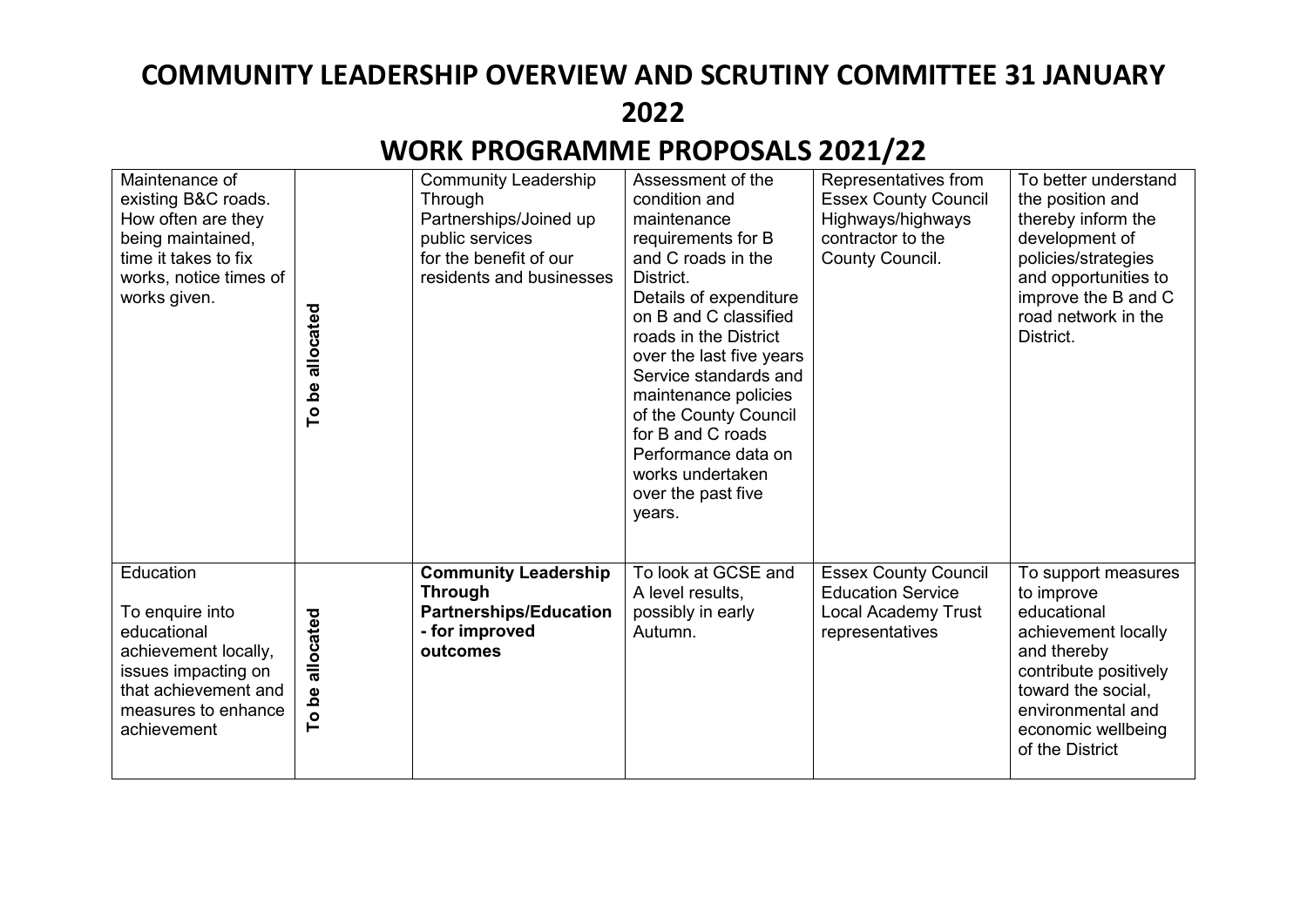| Maintenance of<br>existing B&C roads.<br>How often are they<br>being maintained,<br>time it takes to fix<br>works, notice times of<br>works given.       | To be allocated    | <b>Community Leadership</b><br>Through<br>Partnerships/Joined up<br>public services<br>for the benefit of our<br>residents and businesses | Assessment of the<br>condition and<br>maintenance<br>requirements for B<br>and C roads in the<br>District.<br>Details of expenditure<br>on B and C classified<br>roads in the District<br>over the last five years<br>Service standards and<br>maintenance policies<br>of the County Council<br>for B and C roads<br>Performance data on<br>works undertaken<br>over the past five<br>years. | Representatives from<br><b>Essex County Council</b><br>Highways/highways<br>contractor to the<br>County Council. | To better understand<br>the position and<br>thereby inform the<br>development of<br>policies/strategies<br>and opportunities to<br>improve the B and C<br>road network in the<br>District.          |
|----------------------------------------------------------------------------------------------------------------------------------------------------------|--------------------|-------------------------------------------------------------------------------------------------------------------------------------------|----------------------------------------------------------------------------------------------------------------------------------------------------------------------------------------------------------------------------------------------------------------------------------------------------------------------------------------------------------------------------------------------|------------------------------------------------------------------------------------------------------------------|-----------------------------------------------------------------------------------------------------------------------------------------------------------------------------------------------------|
| Education<br>To enquire into<br>educational<br>achievement locally,<br>issues impacting on<br>that achievement and<br>measures to enhance<br>achievement | allocated<br>To be | <b>Community Leadership</b><br><b>Through</b><br><b>Partnerships/Education</b><br>- for improved<br>outcomes                              | To look at GCSE and<br>A level results,<br>possibly in early<br>Autumn.                                                                                                                                                                                                                                                                                                                      | <b>Essex County Council</b><br><b>Education Service</b><br><b>Local Academy Trust</b><br>representatives         | To support measures<br>to improve<br>educational<br>achievement locally<br>and thereby<br>contribute positively<br>toward the social,<br>environmental and<br>economic wellbeing<br>of the District |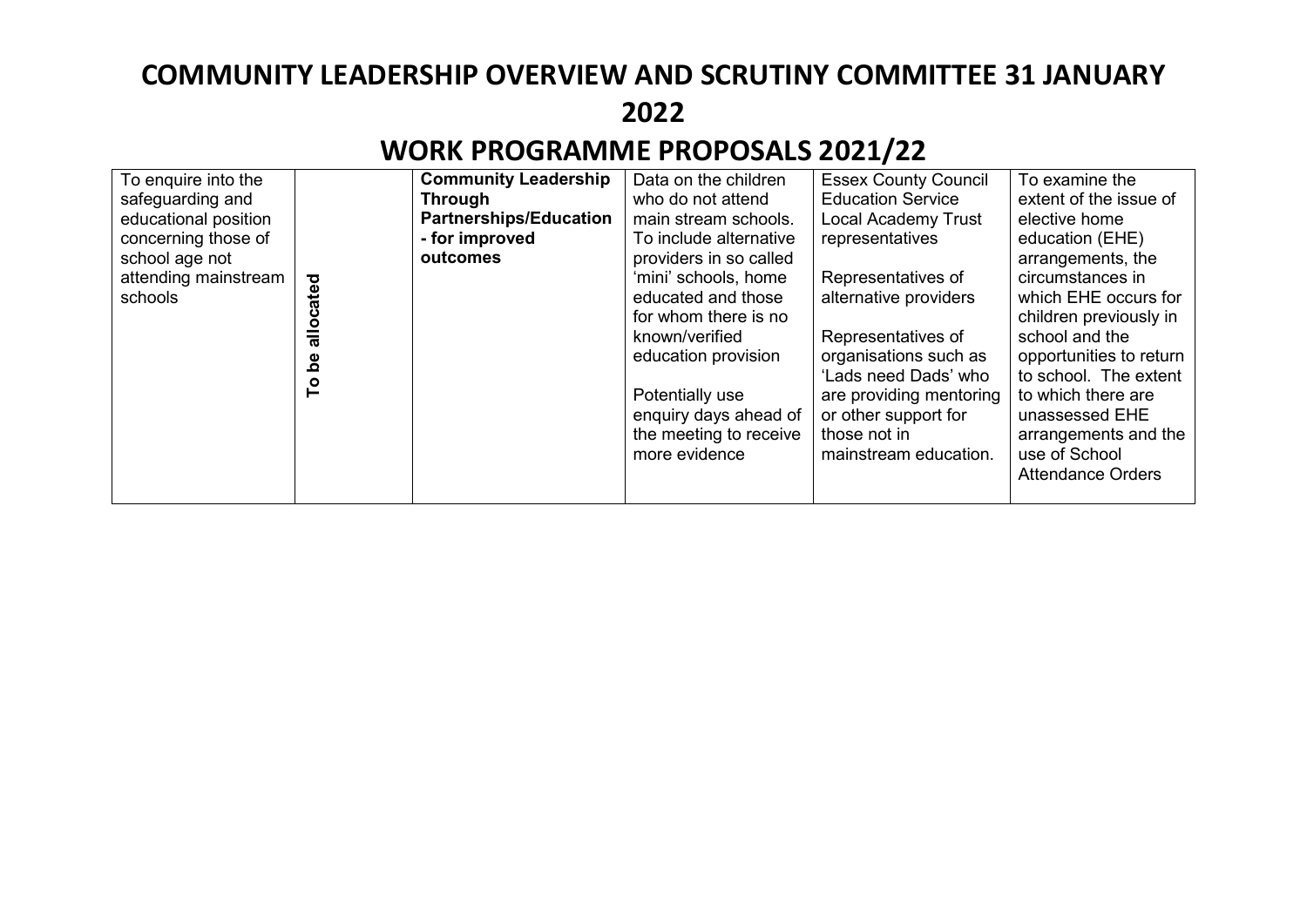| To enquire into the  |                           | <b>Community Leadership</b>   | Data on the children   | <b>Essex County Council</b> | To examine the           |
|----------------------|---------------------------|-------------------------------|------------------------|-----------------------------|--------------------------|
| safeguarding and     |                           | <b>Through</b>                | who do not attend      | <b>Education Service</b>    | extent of the issue of   |
| educational position |                           | <b>Partnerships/Education</b> | main stream schools.   | <b>Local Academy Trust</b>  | elective home            |
| concerning those of  |                           | - for improved                | To include alternative | representatives             | education (EHE)          |
| school age not       |                           | outcomes                      | providers in so called |                             | arrangements, the        |
| attending mainstream |                           |                               | 'mini' schools, home   | Representatives of          | circumstances in         |
| schools              | cated                     |                               | educated and those     | alternative providers       | which EHE occurs for     |
|                      |                           |                               | for whom there is no   |                             | children previously in   |
|                      | $\frac{\bar{a}}{\bar{a}}$ |                               | known/verified         | Representatives of          | school and the           |
|                      | <u>စီ</u>                 |                               | education provision    | organisations such as       | opportunities to return  |
|                      |                           |                               |                        | 'Lads need Dads' who        | to school. The extent    |
|                      | م<br>P                    |                               | Potentially use        | are providing mentoring     | to which there are       |
|                      |                           |                               | enquiry days ahead of  | or other support for        | unassessed EHE           |
|                      |                           |                               | the meeting to receive | those not in                | arrangements and the     |
|                      |                           |                               | more evidence          | mainstream education.       | use of School            |
|                      |                           |                               |                        |                             | <b>Attendance Orders</b> |
|                      |                           |                               |                        |                             |                          |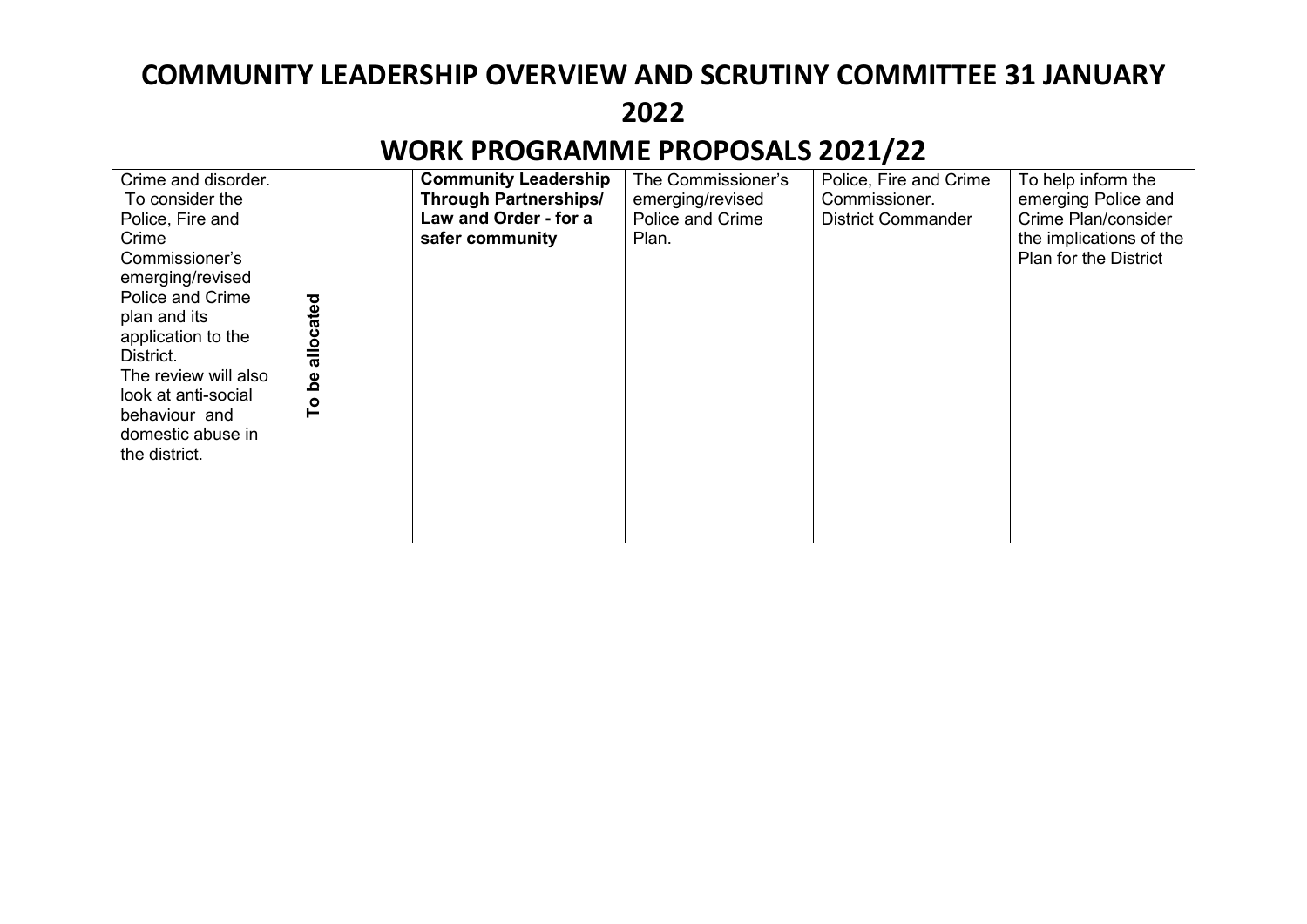| Crime and disorder.<br>To consider the<br>Police, Fire and<br>Crime<br>Commissioner's<br>emerging/revised<br><b>Police and Crime</b><br>plan and its<br>application to the<br>District.<br>The review will also<br>look at anti-social<br>behaviour and<br>domestic abuse in<br>the district. | allocated<br><u>وم</u><br>ە<br>T | <b>Community Leadership</b><br><b>Through Partnerships/</b><br>Law and Order - for a<br>safer community | The Commissioner's<br>emerging/revised<br><b>Police and Crime</b><br>Plan. | Police, Fire and Crime<br>Commissioner.<br><b>District Commander</b> | To help inform the<br>emerging Police and<br>Crime Plan/consider<br>the implications of the<br><b>Plan for the District</b> |
|-----------------------------------------------------------------------------------------------------------------------------------------------------------------------------------------------------------------------------------------------------------------------------------------------|----------------------------------|---------------------------------------------------------------------------------------------------------|----------------------------------------------------------------------------|----------------------------------------------------------------------|-----------------------------------------------------------------------------------------------------------------------------|
|                                                                                                                                                                                                                                                                                               |                                  |                                                                                                         |                                                                            |                                                                      |                                                                                                                             |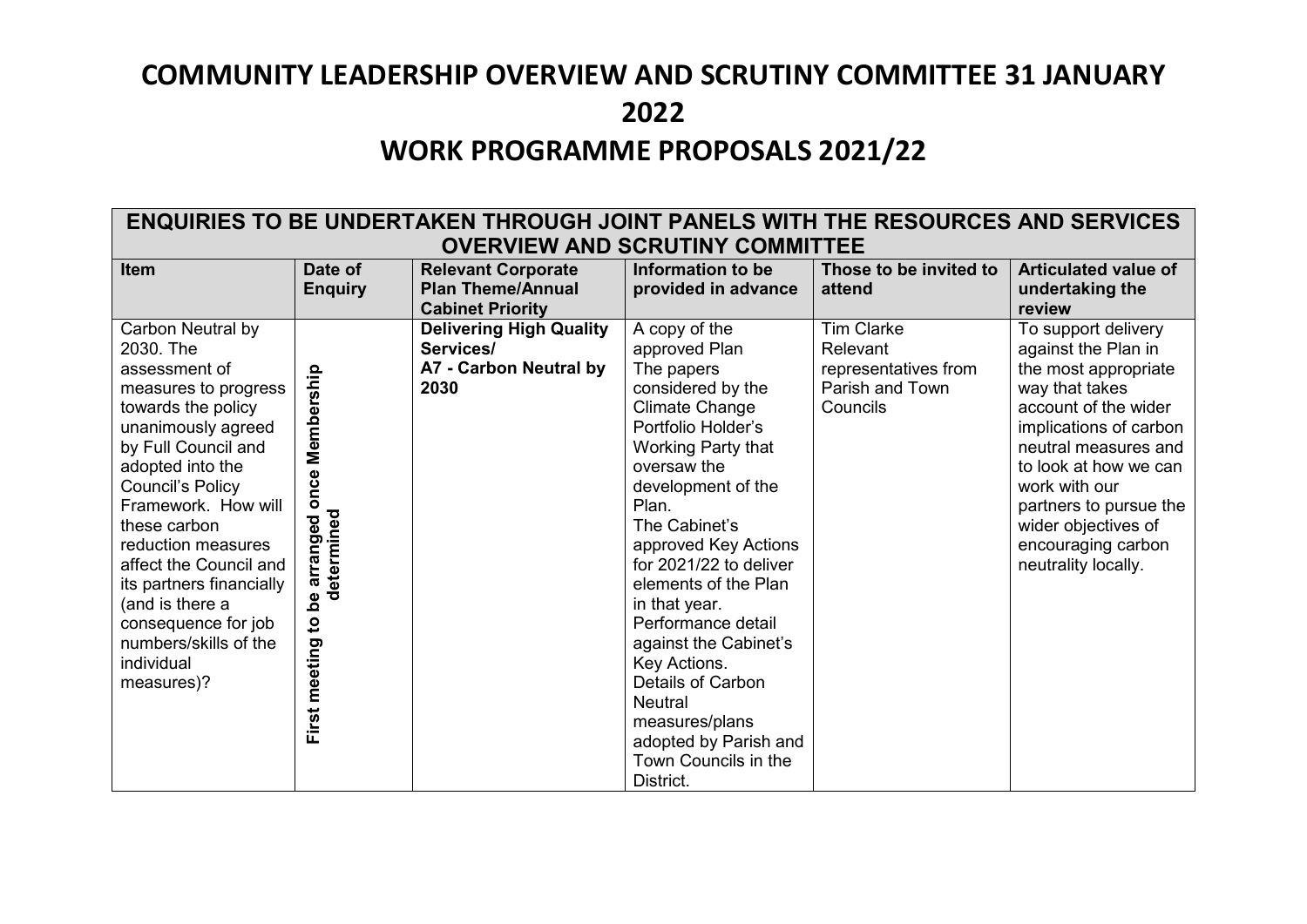## **COMMUNITY LEADERSHIP OVERVIEW AND SCRUTINY COMMITTEE 31 JANUARY 2022 WORK PROGRAMME PROPOSALS 2021/22**

#### **ENQUIRIES TO BE UNDERTAKEN THROUGH JOINT PANELS WITH THE RESOURCES AND SERVICES OVERVIEW AND SCRUTINY COMMITTEE**

| Item                     | Date of        | <b>Relevant Corporate</b>      | Information to be      | Those to be invited to | <b>Articulated value of</b> |
|--------------------------|----------------|--------------------------------|------------------------|------------------------|-----------------------------|
|                          | <b>Enquiry</b> | <b>Plan Theme/Annual</b>       | provided in advance    | attend                 | undertaking the             |
|                          |                | <b>Cabinet Priority</b>        |                        |                        | review                      |
| Carbon Neutral by        |                | <b>Delivering High Quality</b> | A copy of the          | <b>Tim Clarke</b>      | To support delivery         |
| 2030. The                |                | Services/                      | approved Plan          | Relevant               | against the Plan in         |
| assessment of            |                | A7 - Carbon Neutral by         | The papers             | representatives from   | the most appropriate        |
| measures to progress     |                | 2030                           | considered by the      | Parish and Town        | way that takes              |
| towards the policy       |                |                                | <b>Climate Change</b>  | Councils               | account of the wider        |
| unanimously agreed       |                |                                | Portfolio Holder's     |                        | implications of carbon      |
| by Full Council and      | Membership     |                                | Working Party that     |                        | neutral measures and        |
| adopted into the         |                |                                | oversaw the            |                        | to look at how we can       |
| Council's Policy         | once           |                                | development of the     |                        | work with our               |
| Framework. How will      |                |                                | Plan.                  |                        | partners to pursue the      |
| these carbon             |                |                                | The Cabinet's          |                        | wider objectives of         |
| reduction measures       |                |                                | approved Key Actions   |                        | encouraging carbon          |
| affect the Council and   | arranged       |                                | for 2021/22 to deliver |                        | neutrality locally.         |
| its partners financially | determined     |                                | elements of the Plan   |                        |                             |
| (and is there a          | $\mathbf{e}$   |                                | in that year.          |                        |                             |
| consequence for job      | $\overline{5}$ |                                | Performance detail     |                        |                             |
| numbers/skills of the    |                |                                | against the Cabinet's  |                        |                             |
| individual               |                |                                | Key Actions.           |                        |                             |
| measures)?               |                |                                | Details of Carbon      |                        |                             |
|                          |                |                                | <b>Neutral</b>         |                        |                             |
|                          | First meeting  |                                | measures/plans         |                        |                             |
|                          |                |                                | adopted by Parish and  |                        |                             |
|                          |                |                                | Town Councils in the   |                        |                             |
|                          |                |                                | District.              |                        |                             |
|                          |                |                                |                        |                        |                             |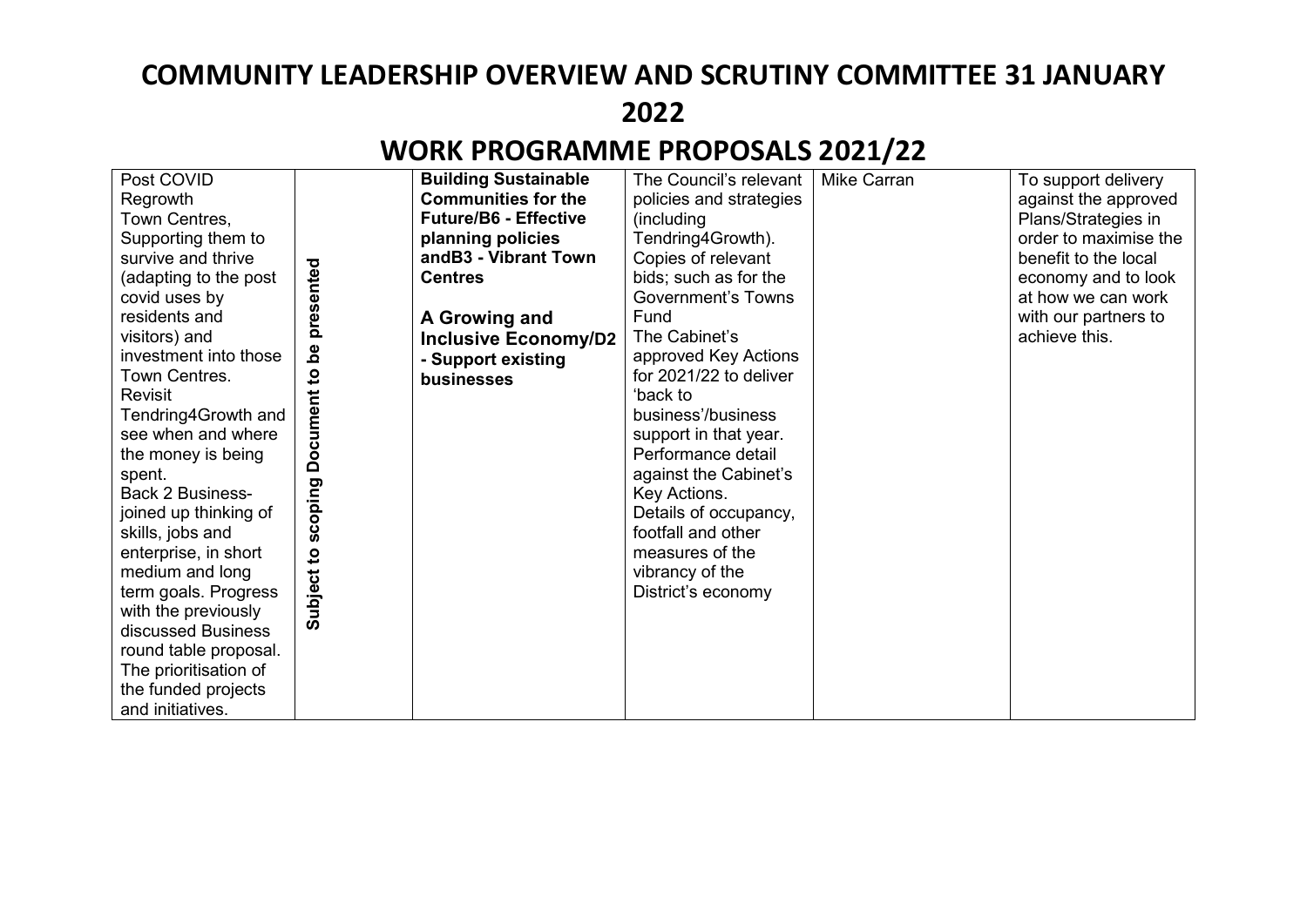| Post COVID<br>Regrowth<br>Town Centres,<br>Supporting them to<br>survive and thrive<br>(adapting to the post<br>covid uses by<br>residents and<br>visitors) and<br>investment into those<br>Town Centres.<br><b>Revisit</b><br>Tendring4Growth and<br>see when and where<br>the money is being<br>spent.<br><b>Back 2 Business-</b><br>joined up thinking of<br>skills, jobs and<br>enterprise, in short<br>medium and long<br>term goals. Progress<br>with the previously<br>discussed Business<br>round table proposal. | presented<br><u>م</u><br>$\mathbf{S}$<br><b>Document</b><br>scoping<br>$\mathbf{S}$<br>Subject | <b>Building Sustainable</b><br><b>Communities for the</b><br><b>Future/B6 - Effective</b><br>planning policies<br>andB3 - Vibrant Town<br><b>Centres</b><br>A Growing and<br><b>Inclusive Economy/D2</b><br>- Support existing<br>businesses | The Council's relevant<br>policies and strategies<br>(including)<br>Tendring4Growth).<br>Copies of relevant<br>bids; such as for the<br><b>Government's Towns</b><br>Fund<br>The Cabinet's<br>approved Key Actions<br>for 2021/22 to deliver<br>ʻback to<br>business'/business<br>support in that year.<br>Performance detail<br>against the Cabinet's<br>Key Actions.<br>Details of occupancy,<br>footfall and other<br>measures of the<br>vibrancy of the<br>District's economy | Mike Carran | To support delivery<br>against the approved<br>Plans/Strategies in<br>order to maximise the<br>benefit to the local<br>economy and to look<br>at how we can work<br>with our partners to<br>achieve this. |
|---------------------------------------------------------------------------------------------------------------------------------------------------------------------------------------------------------------------------------------------------------------------------------------------------------------------------------------------------------------------------------------------------------------------------------------------------------------------------------------------------------------------------|------------------------------------------------------------------------------------------------|----------------------------------------------------------------------------------------------------------------------------------------------------------------------------------------------------------------------------------------------|-----------------------------------------------------------------------------------------------------------------------------------------------------------------------------------------------------------------------------------------------------------------------------------------------------------------------------------------------------------------------------------------------------------------------------------------------------------------------------------|-------------|-----------------------------------------------------------------------------------------------------------------------------------------------------------------------------------------------------------|
| The prioritisation of<br>the funded projects<br>and initiatives.                                                                                                                                                                                                                                                                                                                                                                                                                                                          |                                                                                                |                                                                                                                                                                                                                                              |                                                                                                                                                                                                                                                                                                                                                                                                                                                                                   |             |                                                                                                                                                                                                           |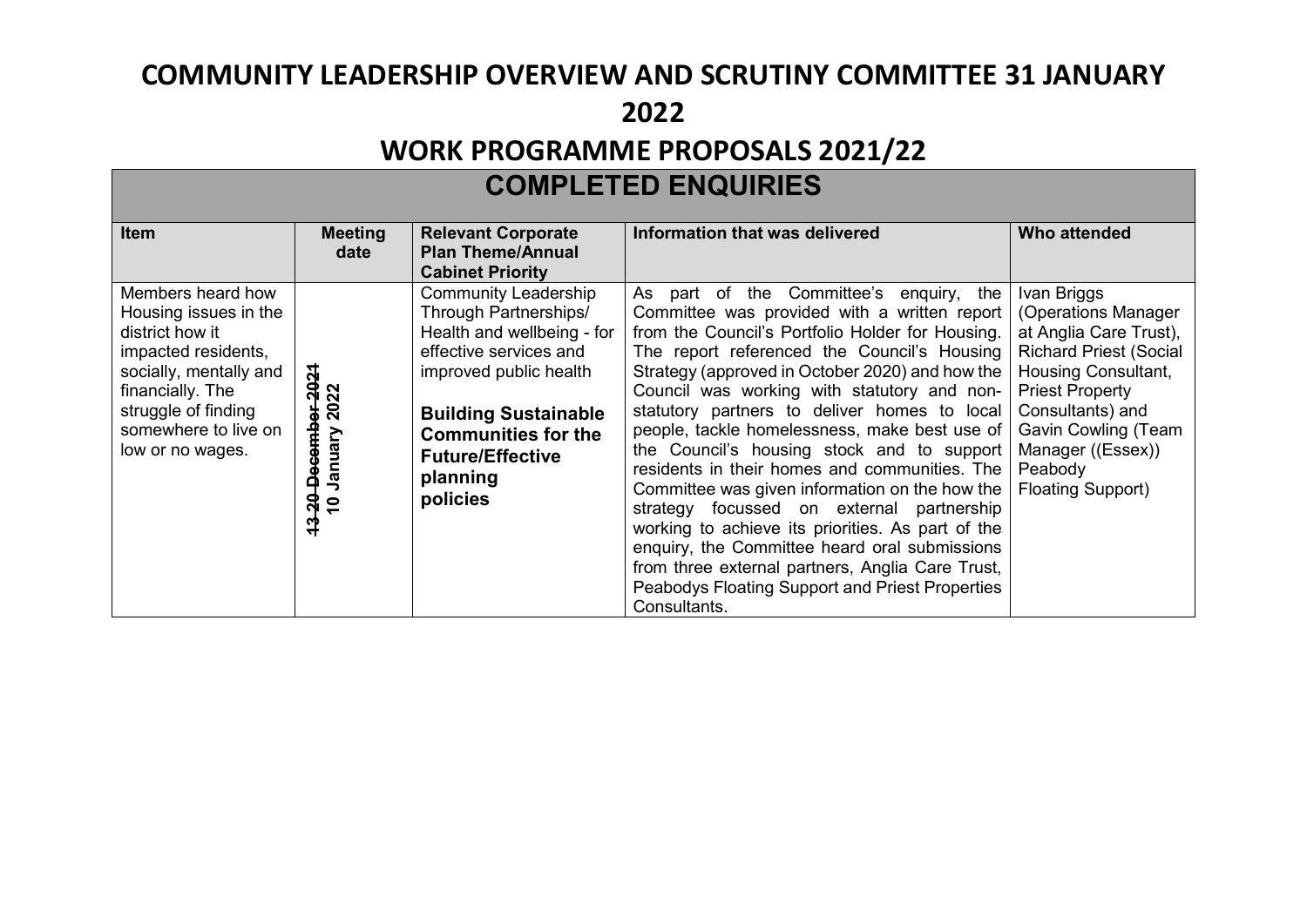| <b>COMPLETED ENQUIRIES</b>                                                                                                                                                                            |                                                                                 |                                                                                                                                                                                                                                                        |                                                                                                                                                                                                                                                                                                                                                                                                                                                                                                                                                                                                                                                                                                                                                                                                                                |                                                                                                                                                                                                                                                              |  |  |
|-------------------------------------------------------------------------------------------------------------------------------------------------------------------------------------------------------|---------------------------------------------------------------------------------|--------------------------------------------------------------------------------------------------------------------------------------------------------------------------------------------------------------------------------------------------------|--------------------------------------------------------------------------------------------------------------------------------------------------------------------------------------------------------------------------------------------------------------------------------------------------------------------------------------------------------------------------------------------------------------------------------------------------------------------------------------------------------------------------------------------------------------------------------------------------------------------------------------------------------------------------------------------------------------------------------------------------------------------------------------------------------------------------------|--------------------------------------------------------------------------------------------------------------------------------------------------------------------------------------------------------------------------------------------------------------|--|--|
| <b>Item</b>                                                                                                                                                                                           | <b>Meeting</b><br>date                                                          | <b>Relevant Corporate</b><br><b>Plan Theme/Annual</b><br><b>Cabinet Priority</b>                                                                                                                                                                       | Information that was delivered                                                                                                                                                                                                                                                                                                                                                                                                                                                                                                                                                                                                                                                                                                                                                                                                 | Who attended                                                                                                                                                                                                                                                 |  |  |
| Members heard how<br>Housing issues in the<br>district how it<br>impacted residents,<br>socially, mentally and<br>financially. The<br>struggle of finding<br>somewhere to live on<br>low or no wages. | 2021<br>2022<br>20 December<br><b>To January</b><br>$\boldsymbol{\mathfrak{p}}$ | <b>Community Leadership</b><br>Through Partnerships/<br>Health and wellbeing - for<br>effective services and<br>improved public health<br><b>Building Sustainable</b><br><b>Communities for the</b><br><b>Future/Effective</b><br>planning<br>policies | part of the Committee's enquiry,<br>the<br>As<br>Committee was provided with a written report<br>from the Council's Portfolio Holder for Housing.<br>The report referenced the Council's Housing<br>Strategy (approved in October 2020) and how the<br>Council was working with statutory and non-<br>statutory partners to deliver homes to local<br>people, tackle homelessness, make best use of<br>the Council's housing stock and to support<br>residents in their homes and communities. The<br>Committee was given information on the how the<br>strategy focussed on external partnership<br>working to achieve its priorities. As part of the<br>enquiry, the Committee heard oral submissions<br>from three external partners, Anglia Care Trust,<br>Peabodys Floating Support and Priest Properties<br>Consultants. | Ivan Briggs<br>(Operations Manager<br>at Anglia Care Trust),<br><b>Richard Priest (Social</b><br>Housing Consultant,<br><b>Priest Property</b><br>Consultants) and<br><b>Gavin Cowling (Team</b><br>Manager ((Essex))<br>Peabody<br><b>Floating Support)</b> |  |  |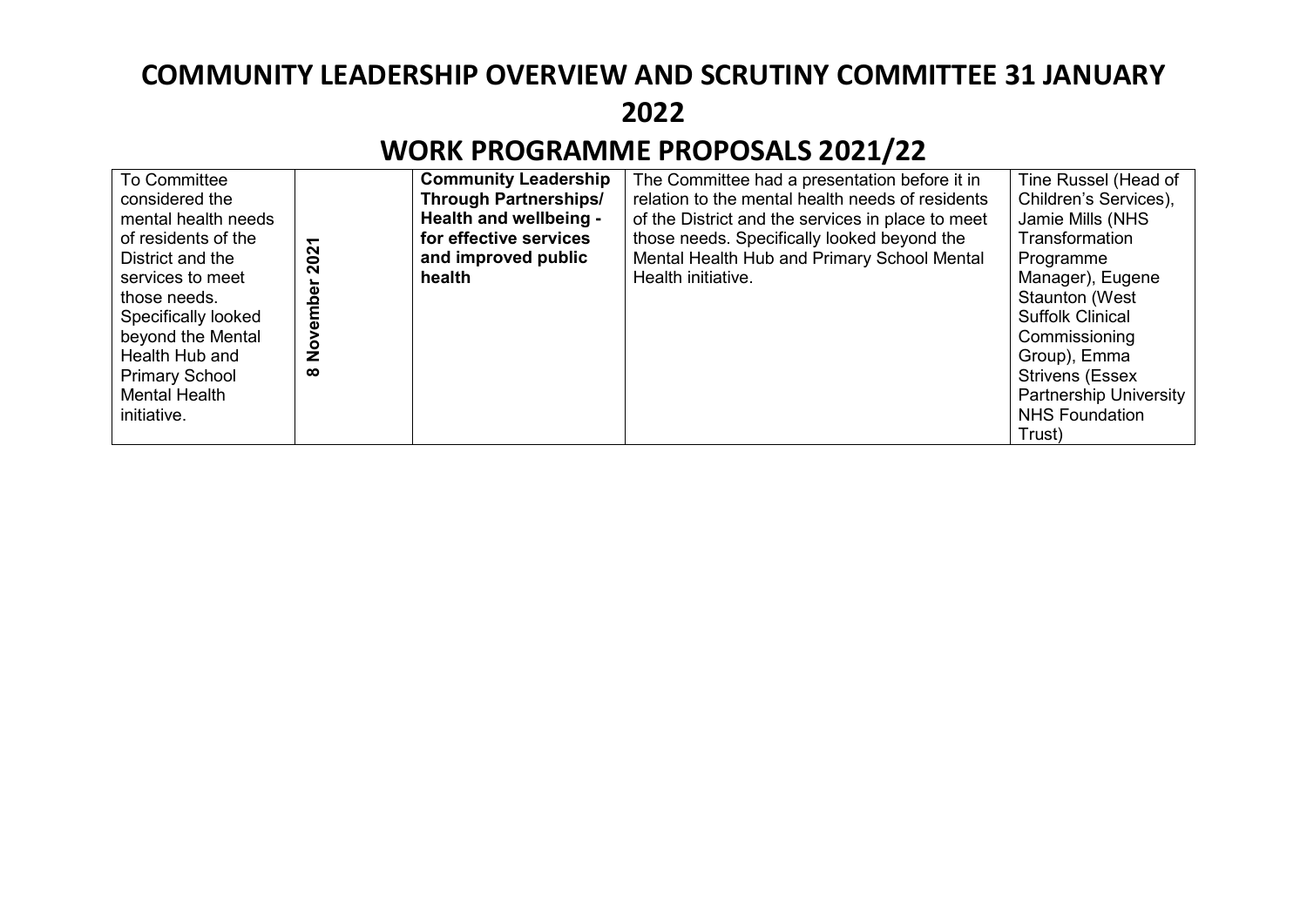| <b>To Committee</b>   |               | <b>Community Leadership</b>  | The Committee had a presentation before it in     | Tine Russel (Head of    |
|-----------------------|---------------|------------------------------|---------------------------------------------------|-------------------------|
| considered the        |               | <b>Through Partnerships/</b> | relation to the mental health needs of residents  | Children's Services),   |
| mental health needs   |               | Health and wellbeing -       | of the District and the services in place to meet | Jamie Mills (NHS        |
| of residents of the   | ᠇             | for effective services       | those needs. Specifically looked beyond the       | Transformation          |
| District and the      | 202           | and improved public          | Mental Health Hub and Primary School Mental       | Programme               |
| services to meet      |               | health                       | Health initiative.                                | Manager), Eugene        |
| those needs.          | mbe           |                              |                                                   | <b>Staunton (West</b>   |
| Specifically looked   |               |                              |                                                   | <b>Suffolk Clinical</b> |
| beyond the Mental     |               |                              |                                                   | Commissioning           |
| Health Hub and        | $\frac{5}{2}$ |                              |                                                   | Group), Emma            |
| <b>Primary School</b> | $\infty$      |                              |                                                   | <b>Strivens (Essex)</b> |
| <b>Mental Health</b>  |               |                              |                                                   | Partnership University  |
| initiative.           |               |                              |                                                   | <b>NHS Foundation</b>   |
|                       |               |                              |                                                   | Trust)                  |